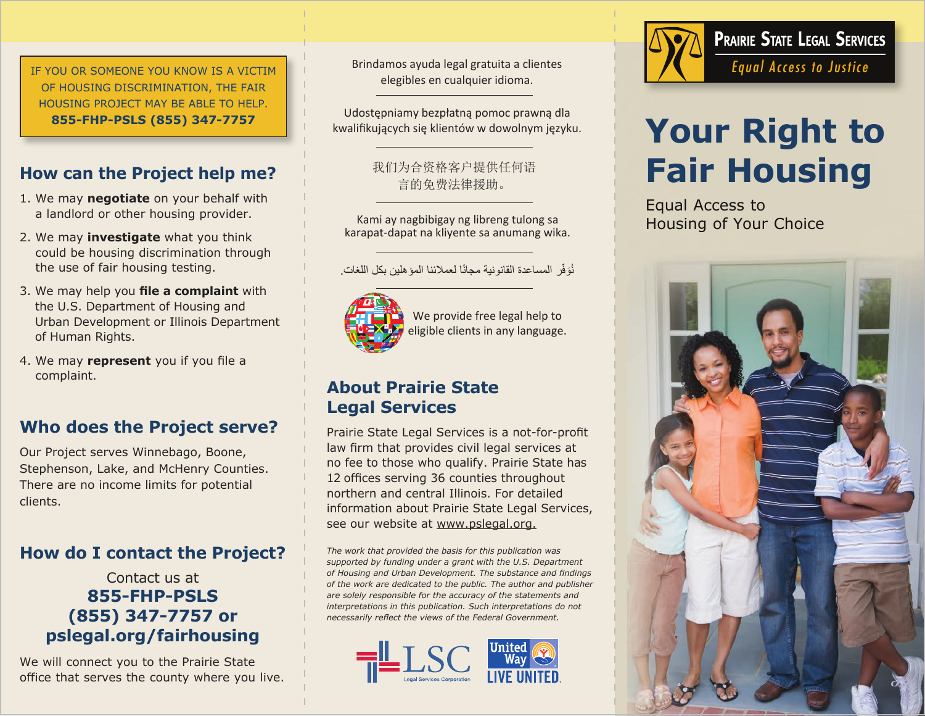IF YOU OR SOMEONE YOU KNOW IS A VICTIM OF HOUSING DISCRIMINATION, THE FAIR HOUSING PROJECT MAY BE ABLE TO HELP. **855-FHP-PSLS (855) 347-7757**

### **How can the Project help me?**

- 1. We may **negotiate** on your behalf with a landlord or other housing provider.
- 2. We may **investigate** what you think could be housing discrimination through the use of fair housing testing.
- 3. We may help you **file a complaint** with the U.S. Department of Housing and Urban Development or Illinois Department of Human Rights.
- 4. We may **represent** you if you file a complaint.

### **Who does the Project serve?**

Our Project serves Winnebago, Boone, Stephenson, Lake, and McHenry Counties. There are no income limits for potential clients.

### **How do I contact the Project?**

### Contact us at **855-FHP-PSLS (855) 347-7757 or pslegal.org/fairhousing**

We will connect you to the Prairie State office that serves the county where you live. Brindamos ayuda legal gratuita a clientes elegibles en cualquier idioma.

Udostępniamy bezpłatną pomoc prawną dla kwalifikujących się klientów w dowolnym języku.

> 我们为合资格客户提供任何语 言的免费法律援助。

Kami ay nagbibigay ng libreng tulong sa karapat-dapat na kliyente sa anumang wika.

نُوَفِّر المساعدة القانونية مجانًا لعملائنا المؤهلين بكل اللغات.



We provide free legal help to eligible clients in any language.

### **About Prairie State Legal Services**

Prairie State Legal Services is a not-for-profit law firm that provides civil legal services at no fee to those who qualify. Prairie State has 12 offices serving 36 counties throughout northern and central Illinois. For detailed information about Prairie State Legal Services, see our website at www.pslegal.org.

*The work that provided the basis for this publication was supported by funding under a grant with the U.S. Department of Housing and Urban Development. The substance and findings of the work are dedicated to the public. The author and publisher are solely responsible for the accuracy of the statements and interpretations in this publication. Such interpretations do not necessarily reflect the views of the Federal Government.*





# **Your Right to Fair Housing**

Equal Access to Housing of Your Choice